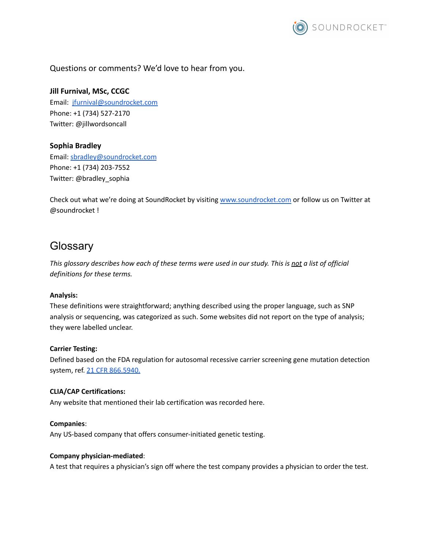

Questions or comments? We'd love to hear from you.

# **Jill Furnival, MSc, CCGC**

Email: [jfurnival@soundrocket.com](mailto:jfurnival@soundrocket.com) Phone: +1 (734) 527-2170 Twitter: @jillwordsoncall

## **Sophia Bradley**

Email: [sbradley@soundrocket.com](mailto:sbradley@soundrocket.com) Phone: +1 (734) 203-7552 Twitter: @bradley\_sophia

Check out what we're doing at SoundRocket by visiting [www.soundrocket.com](http://www.soundrocket.com) or follow us on Twitter at @soundrocket !

# **Glossary**

This glossary describes how each of these terms were used in our study. This is not a list of official *definitions for these terms.*

## **Analysis:**

These definitions were straightforward; anything described using the proper language, such as SNP analysis or sequencing, was categorized as such. Some websites did not report on the type of analysis; they were labelled unclear.

## **Carrier Testing:**

Defined based on the FDA regulation for autosomal recessive carrier screening gene mutation detection system, ref. 21 CFR [866.5940.](https://www.accessdata.fda.gov/scripts/cdrh/cfdocs/cfcfr/CFRSearch.cfm?fr=866.5940)

#### **CLIA/CAP Certifications:**

Any website that mentioned their lab certification was recorded here.

#### **Companies**:

Any US-based company that offers consumer-initiated genetic testing.

#### **Company physician-mediated**:

A test that requires a physician's sign off where the test company provides a physician to order the test.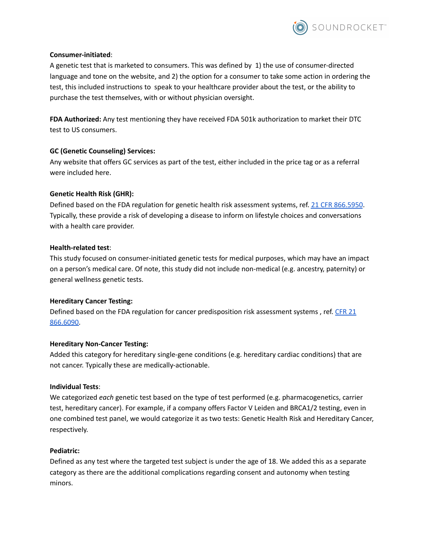

#### **Consumer-initiated**:

A genetic test that is marketed to consumers. This was defined by 1) the use of consumer-directed language and tone on the website, and 2) the option for a consumer to take some action in ordering the test, this included instructions to speak to your healthcare provider about the test, or the ability to purchase the test themselves, with or without physician oversight.

**FDA Authorized:** Any test mentioning they have received FDA 501k authorization to market their DTC test to US consumers.

#### **GC (Genetic Counseling) Services:**

Any website that offers GC services as part of the test, either included in the price tag or as a referral were included here.

#### **Genetic Health Risk (GHR):**

Defined based on the FDA regulation for genetic health risk assessment systems, ref. 21 CFR [866.5950](https://www.accessdata.fda.gov/scripts/cdrh/cfdocs/cfcfr/cfrsearch.cfm?fr=866.5950). Typically, these provide a risk of developing a disease to inform on lifestyle choices and conversations with a health care provider.

#### **Health-related test**:

This study focused on consumer-initiated genetic tests for medical purposes, which may have an impact on a person's medical care. Of note, this study did not include non-medical (e.g. ancestry, paternity) or general wellness genetic tests.

#### **Hereditary Cancer Testing:**

Defined based on the FDA regulation for cancer predisposition risk assessment systems, ref. [CFR](https://www.accessdata.fda.gov/cdrh_docs/pdf17/DEN170046.pdf) 21 [866.6090.](https://www.accessdata.fda.gov/cdrh_docs/pdf17/DEN170046.pdf)

#### **Hereditary Non-Cancer Testing:**

Added this category for hereditary single-gene conditions (e.g. hereditary cardiac conditions) that are not cancer. Typically these are medically-actionable.

#### **Individual Tests**:

We categorized *each* genetic test based on the type of test performed (e.g. pharmacogenetics, carrier test, hereditary cancer). For example, if a company offers Factor V Leiden and BRCA1/2 testing, even in one combined test panel, we would categorize it as two tests: Genetic Health Risk and Hereditary Cancer, respectively.

#### **Pediatric:**

Defined as any test where the targeted test subject is under the age of 18. We added this as a separate category as there are the additional complications regarding consent and autonomy when testing minors.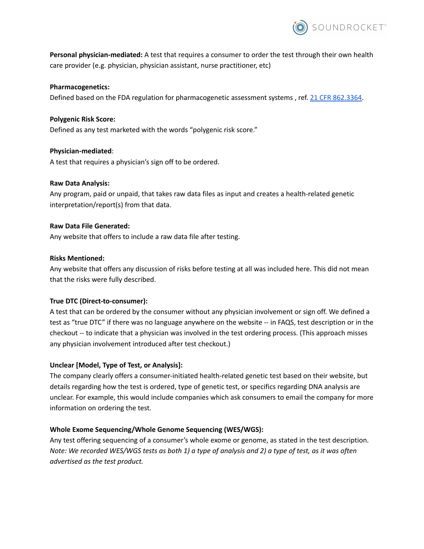

**Personal physician-mediated:** A test that requires a consumer to order the test through their own health care provider (e.g. physician, physician assistant, nurse practitioner, etc)

#### **Pharmacogenetics:**

Defined based on the FDA regulation for pharmacogenetic assessment systems, ref. 21 CFR [862.3364.](https://www.accessdata.fda.gov/cdrh_docs/pdf18/DEN180028.pdf)

## **Polygenic Risk Score:** Defined as any test marketed with the words "polygenic risk score."

**Physician-mediated**: A test that requires a physician's sign off to be ordered.

## **Raw Data Analysis:**

Any program, paid or unpaid, that takes raw data files as input and creates a health-related genetic interpretation/report(s) from that data.

#### **Raw Data File Generated:**

Any website that offers to include a raw data file after testing.

#### **Risks Mentioned:**

Any website that offers any discussion of risks before testing at all was included here. This did not mean that the risks were fully described.

## **True DTC (Direct-to-consumer):**

A test that can be ordered by the consumer without any physician involvement or sign off. We defined a test as "true DTC" if there was no language anywhere on the website -- in FAQS, test description or in the checkout -- to indicate that a physician was involved in the test ordering process. (This approach misses any physician involvement introduced after test checkout.)

## **Unclear [Model, Type of Test, or Analysis]:**

The company clearly offers a consumer-initiated health-related genetic test based on their website, but details regarding how the test is ordered, type of genetic test, or specifics regarding DNA analysis are unclear. For example, this would include companies which ask consumers to email the company for more information on ordering the test.

## **Whole Exome Sequencing/Whole Genome Sequencing (WES/WGS):**

Any test offering sequencing of a consumer's whole exome or genome, as stated in the test description. Note: We recorded WES/WGS tests as both 1) a type of analysis and 2) a type of test, as it was often *advertised as the test product.*